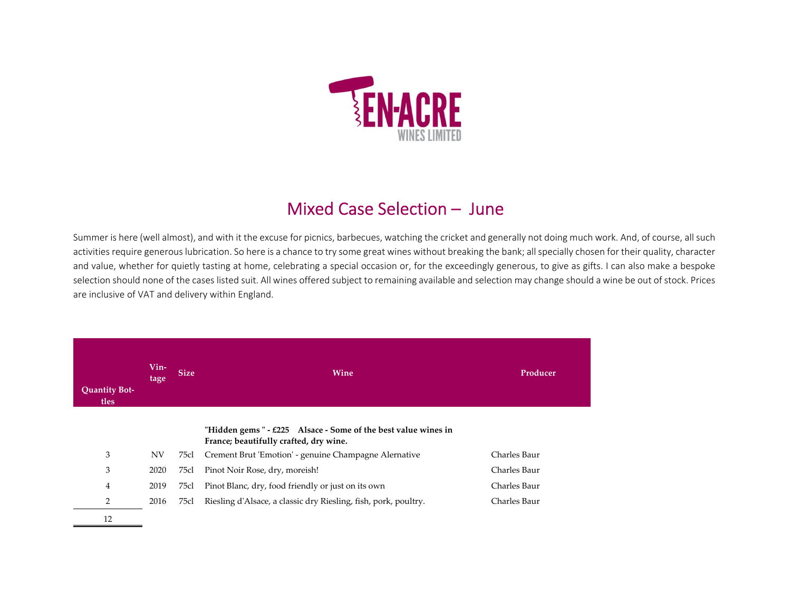

## Mixed Case Selection – June

Summer is here (well almost), and with it the excuse for picnics, barbecues, watching the cricket and generally not doing much work. And, of course, all such activities require generous lubrication. So here is a chance to try some great wines without breaking the bank; all specially chosen for their quality, character and value, whether for quietly tasting at home, celebrating <sup>a</sup> special occasion or, for the exceedingly generous, to give as gifts. I can also make <sup>a</sup> bespoke selection should none of the cases listed suit. All wines offered subject to remaining available and selection may change should <sup>a</sup> wine be out of stock. Prices are inclusive of VAT and delivery within England.

| <b>Quantity Bot-</b><br>tles | Vin-<br>tage | <b>Size</b> | Wine                                                                                                     | Producer     |
|------------------------------|--------------|-------------|----------------------------------------------------------------------------------------------------------|--------------|
|                              |              |             | "Hidden gems $-$ £225 Alsace - Some of the best value wines in<br>France; beautifully crafted, dry wine. |              |
| 3                            | <b>NV</b>    | 75cl        | Crement Brut 'Emotion' - genuine Champagne Alernative                                                    | Charles Baur |
| 3                            | 2020         | 75cl        | Pinot Noir Rose, dry, moreish!                                                                           | Charles Baur |
| 4                            | 2019         | 75cl        | Pinot Blanc, dry, food friendly or just on its own                                                       | Charles Baur |
| 2                            | 2016         | 75cl        | Riesling d'Alsace, a classic dry Riesling, fish, pork, poultry.                                          | Charles Baur |
| 12                           |              |             |                                                                                                          |              |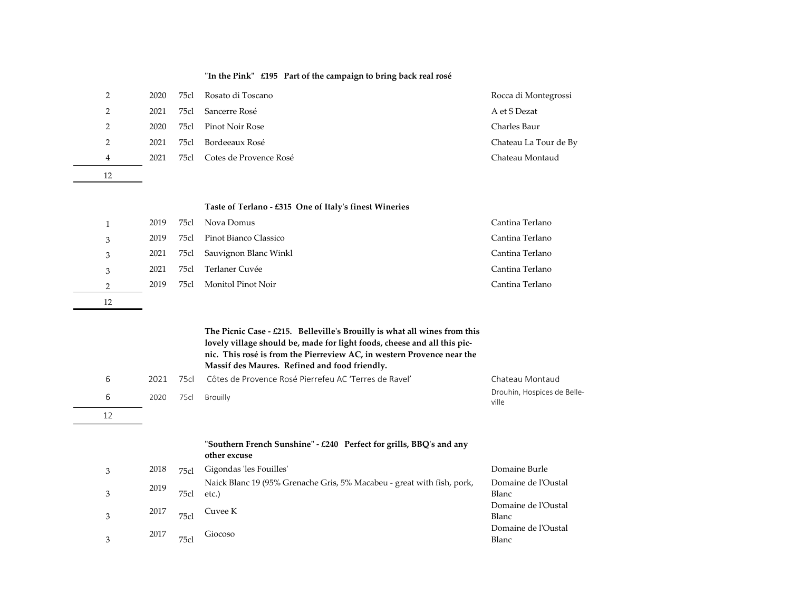|    |      |      | "In the Pink" $£195$ Part of the campaign to bring back real rosé                                                                                                                                                                                                                          |                                      |
|----|------|------|--------------------------------------------------------------------------------------------------------------------------------------------------------------------------------------------------------------------------------------------------------------------------------------------|--------------------------------------|
| 2  | 2020 | 75cl | Rosato di Toscano                                                                                                                                                                                                                                                                          | Rocca di Montegrossi                 |
| 2  | 2021 | 75cl | Sancerre Rosé                                                                                                                                                                                                                                                                              | A et S Dezat                         |
| 2  | 2020 | 75cl | <b>Pinot Noir Rose</b>                                                                                                                                                                                                                                                                     | Charles Baur                         |
| 2  | 2021 | 75cl | Bordeeaux Rosé                                                                                                                                                                                                                                                                             | Chateau La Tour de By                |
| 4  | 2021 | 75cl | Cotes de Provence Rosé                                                                                                                                                                                                                                                                     | Chateau Montaud                      |
| 12 |      |      |                                                                                                                                                                                                                                                                                            |                                      |
|    |      |      |                                                                                                                                                                                                                                                                                            |                                      |
|    |      |      | Taste of Terlano - £315 One of Italy's finest Wineries                                                                                                                                                                                                                                     |                                      |
| 1  | 2019 | 75cl | Nova Domus                                                                                                                                                                                                                                                                                 | Cantina Terlano                      |
| 3  | 2019 | 75cl | Pinot Bianco Classico                                                                                                                                                                                                                                                                      | Cantina Terlano                      |
| 3  | 2021 | 75cl | Sauvignon Blanc Winkl                                                                                                                                                                                                                                                                      | Cantina Terlano                      |
| 3  | 2021 | 75cl | Terlaner Cuvée                                                                                                                                                                                                                                                                             | Cantina Terlano                      |
| 2  | 2019 | 75cl | Monitol Pinot Noir                                                                                                                                                                                                                                                                         | Cantina Terlano                      |
| 12 |      |      |                                                                                                                                                                                                                                                                                            |                                      |
|    |      |      |                                                                                                                                                                                                                                                                                            |                                      |
|    |      |      | The Picnic Case - $\pounds 215$ . Belleville's Brouilly is what all wines from this<br>lovely village should be, made for light foods, cheese and all this pic-<br>nic. This rosé is from the Pierreview AC, in western Provence near the<br>Massif des Maures. Refined and food friendly. |                                      |
| 6  | 2021 | 75cl | Côtes de Provence Rosé Pierrefeu AC 'Terres de Ravel'                                                                                                                                                                                                                                      | Chateau Montaud                      |
| 6  | 2020 | 75cl | Brouilly                                                                                                                                                                                                                                                                                   | Drouhin, Hospices de Belle-<br>الشدد |

## 612

 $\sim$ 

## **ʺSouthern French Sunshineʺ ‐ £240 Perfect for grills, BBQ<sup>ʹ</sup><sup>s</sup> and any other excuse** 2018 75cl Gigondas les Fouilles' (2018 1996) Domaine Burle

ville

| 3 | 2018 | 75c1 | Gigondas 'les Fouilles'                                                | Domaine Burle       |
|---|------|------|------------------------------------------------------------------------|---------------------|
|   |      |      | Naick Blanc 19 (95% Grenache Gris, 5% Macabeu - great with fish, pork, | Domaine de l'Oustal |
| 3 | 2019 | 75c  | etc.)                                                                  | Blanc               |
|   |      |      |                                                                        | Domaine de l'Oustal |
| 3 | 2017 | 75c  | Cuvee K                                                                | Blanc               |
|   |      |      | Giocoso                                                                | Domaine de l'Oustal |
| 3 | 2017 | 75c  |                                                                        | Blanc               |